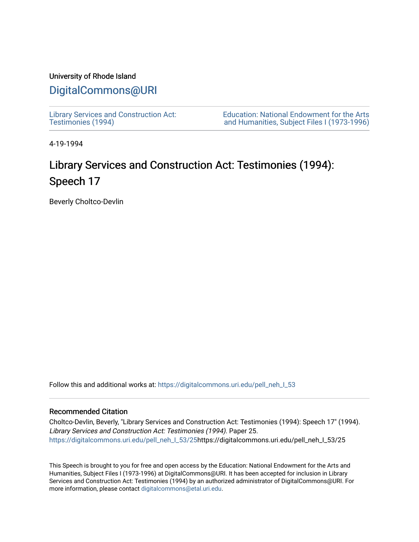# University of Rhode Island

# [DigitalCommons@URI](https://digitalcommons.uri.edu/)

[Library Services and Construction Act:](https://digitalcommons.uri.edu/pell_neh_I_53)  [Testimonies \(1994\)](https://digitalcommons.uri.edu/pell_neh_I_53) 

[Education: National Endowment for the Arts](https://digitalcommons.uri.edu/pell_neh_I)  [and Humanities, Subject Files I \(1973-1996\)](https://digitalcommons.uri.edu/pell_neh_I) 

4-19-1994

# Library Services and Construction Act: Testimonies (1994): Speech 17

Beverly Choltco-Devlin

Follow this and additional works at: https://digitalcommons.uri.edu/pell\_neh\_I\_53

# Recommended Citation

Choltco-Devlin, Beverly, "Library Services and Construction Act: Testimonies (1994): Speech 17" (1994). Library Services and Construction Act: Testimonies (1994). Paper 25. [https://digitalcommons.uri.edu/pell\\_neh\\_I\\_53/25h](https://digitalcommons.uri.edu/pell_neh_I_53/25?utm_source=digitalcommons.uri.edu%2Fpell_neh_I_53%2F25&utm_medium=PDF&utm_campaign=PDFCoverPages)ttps://digitalcommons.uri.edu/pell\_neh\_I\_53/25

This Speech is brought to you for free and open access by the Education: National Endowment for the Arts and Humanities, Subject Files I (1973-1996) at DigitalCommons@URI. It has been accepted for inclusion in Library Services and Construction Act: Testimonies (1994) by an authorized administrator of DigitalCommons@URI. For more information, please contact [digitalcommons@etal.uri.edu.](mailto:digitalcommons@etal.uri.edu)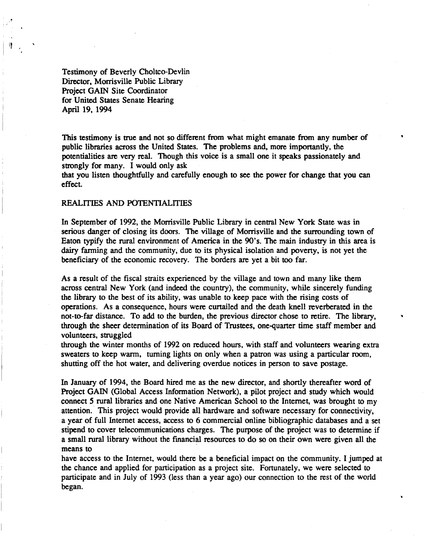Testimony of Beverly Choltco-Devlin Director, Morrisville Public Library Project GAIN Site Coordinator for United States Senate Hearing April 19. 1994

,. .

I)

This testimony is true and not so different from what might emanate from any number of public libraries across the United States. The problems and. more importantly, the potentialities are very real. Though this voice is a small one it speaks passionately and strongly for many. I would only ask

•

that you listen thoughtfully and carefully enough to see the power for change that you can effect.

# REALITIES AND POTENTIALITIES

In September of 1992, the Morrisville Public Library in central New York State was in serious danger of closing its doors. The village of Morrisville and the surrounding town of Eaton typify the rural environment of America in the 90's. The main industry in this area is dairy farming and the community, due to its physical isolation and poveny. is not yet the beneficiary of the economic recovery. The borders are yet a bit too far.

As a result of the fiscal straits experienced by the village and town and many like them across central New York (and indeed the country), the community. while sincerely funding the library to the best of its ability, was unable to keep pace with the rising costs of operations. As a consequence. hours were curtailed and the death knell reverberated in the not-to-far distance. To add to the burden. the previous director chose to retire. The library, • through the sheer determination of its Board of Trustees. one-quaner time staff member and volunteers. struggled

through the winter months of 1992 on reduced hours, with staff and volunteers wearing extra sweaters to keep warm, turning lights on only when a patron was using a panicular room, shutting off the hot water. and delivering overdue notices in person to save postage.

In January of 1994, the Board hired me as the new director, and shortly thereafter word of Project GAIN (Global Access Information Network), a pilot project and study which would connect 5 rural libraries and one Native American School to the Internet, was brought to my attention. This project would provide all hardware and software necessary for connectivity, a year of full Internet access, access to 6 commercial online bibliographic databases and a set stipend to cover telecommunications charges. The purpose of the project was to determine if a small rural library without the financial resources to do so on their own were given all the means to

have access to the Internet, would there be a beneficial impact on the community. I jumped at the chance and applied for panicipation as a project site. Fonunately, we were selected to panicipate and in July of 1993 (less than a year ago) our connection to the rest of the world began.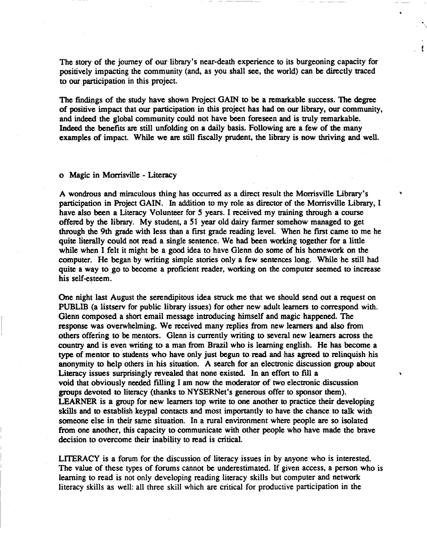The story of the journey of our library's near-death experience to its burgeoning capacity for positively impacting the community (and, as you shall see, the world) can be directly traced to our participation in this project.

.

The findings of the study have shown Project GAIN to be a remarkable success. The degree of positive impact that our participation in this project has had on our library, our community, and indeed the global community could not have been foreseen and is truly remarkable. Indeed the benefits are still unfolding on a daily basis. Following are a few of the many examples of impact. While we are still fiscally prudent, the library is now thriving and well.

# o Magic in Morrisville - Literacy

A wondrous and miraculous thing has occurred as a direct result the Morrisville Library's participation in Project GAIN. In addition to my role as director of the Morrisville Library, I have also been a Literacy Volunteer for 5 years. I received my training through a course offered by the library. My student, a 51 year old dairy farmer somehow managed to get through the 9th grade with less than a first grade reading level. When he first came to me he quite literally could not read a single sentence. We had been working together for a little while when I felt it might be a good idea to have Glenn do some of his homework on the computer. He began by writing simple stories only a few sentences long. While he still had quite a way to go to become a proficient reader, working on the computer seemed to increase his self-esteem.

One night last August the serendipitous idea struck me that we should send out a request on PUBLIB (a listserv for public library issues) for other new adult learners to correspond with. Glenn composed a short email message introducing himself and magic happened. The response was overwhelming. We received many replies from new learners and also from others offering to be mentors. Glenn is currently writing to several new learners across the country and is even writing to a man from Brazil who is learning english. He has become a type of mentor to students who have only just begun to read and has agreed to relinquish his anonymity to help others in his situation. A search for an electronic discussion group about Literacy issues surprisingly revealed that none existed. In an effort to fill a void that obviously needed filling I am now the moderator of two electronic discussion groups devoted to literacy (thanks to NYSERNet's generous offer to sponsor them). LEARNER is a group for new learners top write to one another to practice their developing skills and to establish keypal contacts and most importantly to have the chance to talk with someone else in their same situation. In a rural environment where people are so isolated from one another, this capacity to communicate with other people who have made the brave decision to overcome their inability to read is critical.

LITERACY is a forum for the discussion of literacy issues in by anyone who is interested. The value of these types of forums cannot be underestimated. If given access, a person who is learning to read is not only developing reading literacy skills but computer and network literacy skills as well: all three skill which are critical for productive participation in the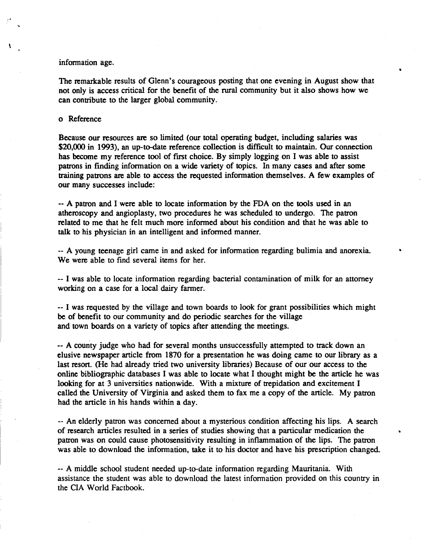# information age.

The remarkable results of Glenn's courageous posting that one evening in August show that not only is access critical for the benefit of the rural community but it also shows how we can contribute to the larger global community.

## o Reference

Because our resources are so limited (our total operating budget, including salaries was \$20,000 in 1993), an up-to-date reference collection is difficult to maintain. Our connection has become my reference tool of first choice. By simply logging on I was able to assist patrons in finding information on a wide variety of topics. In many cases and after some training patrons are able to access the requested information themselves. A few examples of our many successes include:

-- A patron and I were able to locate information by the FDA on the tools used in an atheroscopy and angioplasty, two procedures he was scheduled to undergo. The patron related to me that he felt much more informed about his condition and that he was able to talk to his physician in an intelligent and informed manner.

-- A young teenage girl came in and asked for information regarding bulimia and anorexia. We were able to find several items for her.

..

-- I was able to locate information regarding bacterial contamination of milk for an attorney working on a case for a local dairy farmer.

-- I was requested by the village and town boards to look for grant possibilities which might be of benefit to our community and do periodic searches for the village and town boards on a variety of topics after attending the meetings.

-- A county judge who had for several months unsuccessfully attempted to track down an elusive newspaper article from 1870 for a presentation he was doing came to our library as a last resort. (He had already tried two university libraries) Because of our our access to the online bibliographic databases I was able to locate what I thought might be the article he was looking for at 3 universities nationwide. With a mixture of trepidation and excitement I called the University of Virginia and asked them to fax me a copy of the article. My patron had the article in his hands within a day.

-- An elderly patron was concerned about a mysterious condition affecting his lips. A search of research articles resulted in a series of studies showing that a particular medication the patron was on could cause photosensitivity resulting in inflammation of the lips. The patron was able to download the information, take it to his doctor and have his prescription changed.

-- A middle school student needed up-to-date information regarding Mauritania. With assistance the student was able to download the latest information provided on this country in the CIA World Factbook.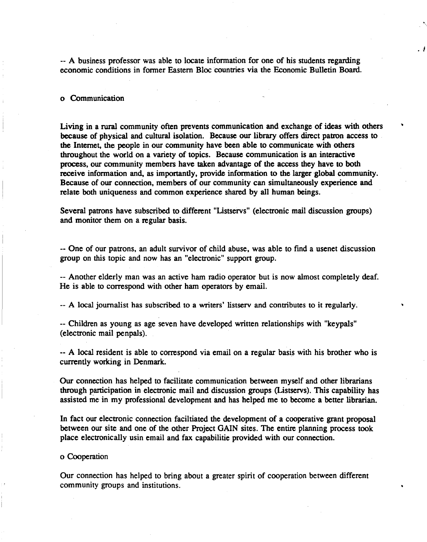-- A business professor was able to locate information for one of his students regarding economic conditions in former Eastern Bloc countries via the Economic Bulletin Board. . *i* 

..

#### o Communication

Living in a rural community often prevents communication and exchange of ideas with others because of physical and cultural isolation. Because our library offers direct patron access to the Internet, the people in our community have been able to communicate with others throughout the world on a variety of topics. Because communication is an interactive process, our community members have taken advantage of the access they have to both receive information and, as importantly, provide information to the larger global community. Because of our connection, members of our community can simultaneously experience and relate both uniqueness and common experience shared by all human beings.

Several patrons have subscribed to different "Listservs" (electronic mail discussion groups) and monitor them on a regular basis.

-- One of our patrons, an adult survivor of child abuse, was able to find a usenet discussion group on this topic and now has an "electronic" support group.

-- Another elderly man was an active ham radio operator but is now almost completely deaf. He is able to correspond with other ham operators by email.

-- A local journalist has subscribed to a writers' listserv and contributes to it regularly.

-- Children as young as age seven have developed written relationships with "keypals" (electronic mail penpals).

-- A local resident is able to correspond via email on a regular basis with his brother who is currently working in Denmark.

Our connection has helped to facilitate communication between myself and other librarians through participation in electronic mail and discussion groups (Listservs). This capability has assisted me in my professional development and has helped me to become a better librarian.

In fact our electronic connection faciltiated the development of a cooperative grant proposal between our site and one of the other Project GAIN sites. The entire planning process took place electronically usin email and fax capabilitie provided with our connection.

o Cooperation

Our connection has helped to bring about a greater spirit of cooperation between different community groups and institutions.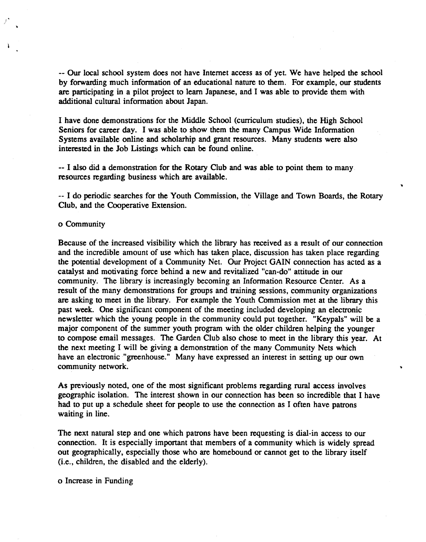-- Our local school system does not have Internet access as of yet. We have helped the school by forwarding much information of an educational nature to them. For example, our students are particjpating in a pilot project to learn Japanese, and I was able to provide them with additional cultural information about Japan.

I have done demonstrations for the Middle School (curriculum studies), the High School Seniors for career day. I was able to show them the many Campus Wide Information Systems available online and scholarhip and grant resources. Many students were also interested in the Job Listings which can be found online.

-- I also did a demonstration for the Rotary Club and was able to point them to many resources regarding business which are available.

-- I do periodic searches for the Youth Commission, the Village and Town Boards, the Rotary Club, and the Cooperative Extension.

"

# o Community

/,

Because of the increased visibility which the library has received as a result of our connection and the incredible amount of use which has taken place, discussion has taken place regarding the potential development of a Community Net. Our Project GAIN connection has acted as a catalyst and motivating force behind a new and revitalized "can-do" attitude in our community. The library is increasingly becoming an Information Resource Center. As a result of the many demonstrations for groups and training sessions, community organizations are asking to meet in the library. For example the Youth Commission met at the library this past week. One significant component of the meeting included developing an electronic newsletter which the young people in the community could put together. "Keypals" will be a major component of the summer youth program with the older children helping the younger to compose email messages. The Garden Club also chose to meet in the library this year. At the next meeting I will be giving a demonstration of the many Community Nets which have an electronic "greenhouse." Many have expressed an interest in setting up our own community network.

As previously noted, one of the most significant problems regarding rural access involves geographic isolation. The interest shown in our connection has been so incredible that I have had to put up a schedule sheet for people to use the connection as I often have patrons waiting in line.

The next natural step and one which patrons have been requesting is dial-in access to our connection. It is especially important that members of a community which is widely spread out geographically, especially those who are homebound or cannot get to the library itself (i.e., children, the disabled and the elderly).

o Increase in Funding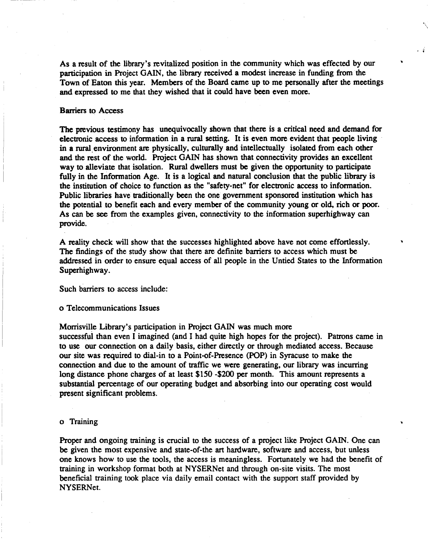As a result of the library's revitalized position in the community which was effected by our participation in Project GAIN, the library received a modest increase in funding from the Town of Eaton this year. Members of the Board came up to me personally after the meetings and expressed to me that they wished that it could have been even more.

 $\ddot{\phantom{1}}$ 

..

# Barriers to Access

The previous testimony has unequivocally shown that there is a critical need and demand for electronic access to information in a rural setting. It is even more evident that people living in a rural environment are physically, culturally and intellectually isolated from each other and the rest of the world. Project GAIN has shown that connectivity provides an excellent way to alleviate that isolation. Rural dwellers must be given the opportunity to participate fully in the Information Age. It is a logical and natural conclusion that the public library is the institution of choice to function as the "safety-net" for electronic access to information. Public libraries have traditionally been the one government sponsored institution which has the potential to benefit each and every member of the community young or old, rich or poor. As can be see from the examples given, connectivity to the information superhighway can provide.

A reality check will show that the successes highlighted above have not come effortlessly. The findings of the study show that there are definite barriers to access which must be addressed in order to ensure equal access of all people in the Untied States to the Information Superhighway.

Such barriers to access include:

o Telecommunications Issues

Morrisville Library's participation in Project GAIN was much more successful than even I imagined (and I had quite high hopes for the project). Patrons came in to use our connection on a daily basis, either directly or through mediated access. Because our site was required to dial-in to a Point-of-Presence (POP) in Syracuse to make the connection and due to the amount of traffic we were generating, our library was incurring long distance phone charges of at least \$150 -\$200 per month. This amount represents a substantial percentage of our operating budget and absorbing into our operating cost would present significant problems.

# o Training

Proper and ongoing training is crucial to the success of a project like Project GAIN. One can be given the most expensive and state-of-the art hardware, software and access, but unless one knows how to use the tools, the access is meaningless. Fortunately we had the benefit of training in workshop format both at NYSERNet and through on-site visits. The most beneficial training took place via daily email contact with the support staff provided by NYSERNet.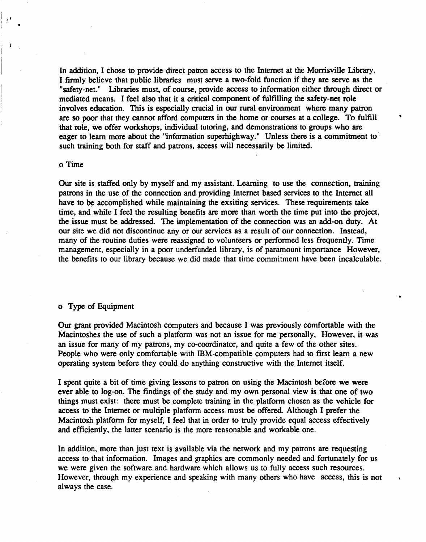In addition, I chose to provide direct patron access to the Internet at the Morrisville Library. I firmly believe that public libraries must serve a two-fold function if they are serve as the "safety-net." Libraries must, of course, provide access to information either through direct or mediated means. I feel also that it a critical component of fulfilling the safety-net role involves education. This is especially crucial in our rural environment where many patron are so poor that they cannot afford computers in the home or courses at a college. To fulfill that role, we offer workshops, individual tutoring, and demonstrations to groups who are eager to learn more about the "information superhighway." Unless there is a commitment to such training both for staff and patrons, access will necessarily be limited.

# o Time

i  $f^*$ 

•

Our site is staffed only by myself and my assistant. Learning to use the connection, training patrons in the use of the connection and providing Internet based services to the Internet all have to be accomplished while maintaining the exsiting services. These requirements take time, and while I feel the resulting benefits are more than worth the time put into the project, the issue must be addressed. The implementation of the connection was an add-on duty. At our site we did not discontinue any or our services as a result of our connection. Instead, many of the routine duties were reassigned to volunteers or performed less frequently. Time management, especially in a poor underfunded library, is of paramount importance However, the benefits to our library because we did made that time commitment have been incalculable.

# o Type of Equipment

Our grant provided Macintosh computers and because I was previously comfortable with the Macintoshes the use of such a platform was not an issue for me personally, However, it was an issue for many of my patrons, my co-coordinator, and quite a few of the other sites. People who were only comfortable with IBM-compatible computers had to first learn a new operating system before they could do anything constructive with the Internet itself.

I spent quite a bit of time giving lessons to patron on using the Macintosh before we were ever able to log-on. The findings of the study and my own personal view is that one of two things must exist: there must be complete training in the platform chosen as the vehicle for access to the Internet or multiple platform access must be offered. Although I prefer the Macintosh platform for myself, I feel that in order to truly provide equal access effectively and efficiently, the latter scenario is the more reasonable and workable one.

In addition, more than just text is available via the network and my patrons are requesting access to that information. Images and graphics are commonly needed and fortunately for us we were given the software and hardware which allows us to fully access such resources. However, through my experience and speaking with many others who have access, this is not always the case.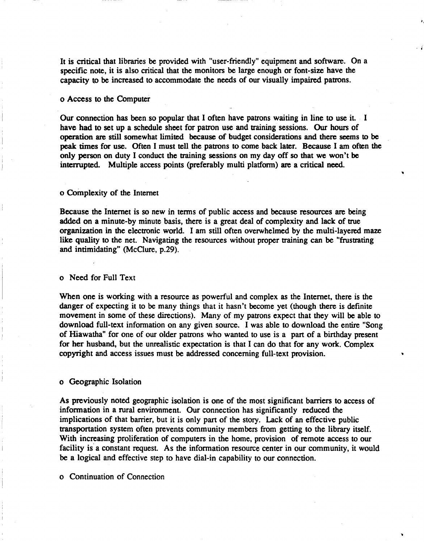It is critical that libraries be provided with "user-friendly" equipment and software. On a specific note, it is also critical that the monitors be large enough or font-size have the capacity to be increased to accommodate the needs of our visually impaired patrons.

. i

## o Access to the Computer

Our connection has been so popular that I often have patrons waiting in line to use it. I have had to set up a schedule sheet for patron use and training sessions. Our hours of operation are still somewhat limited because of budget considerations and there seems to be peak times for use. Often I must tell the patrons to come back later. Because I am often the only person on duty I conduct the training sessions on my day off so that we won't be interrupted. Multiple access points (preferably multi platform) are a critical need.

# o Complexity of the Internet

Because the Internet is so new in terms of public access and because resources are being added on a minute-by minute basis, there is a great deal of complexity and lack of true organization in the electronic world. I am still often overwhelmed by the multi-layered maze like quality to the net. Navigating the resources without proper training can be "frustrating and intimidating" (McClure, p.29).

# o Need for Full Text

When one is working with a resource as powerful and complex as the Internet, there is the danger of expecting it to be many things that it hasn't become yet (though there is definite movement in some of these directions). Many of my patrons expect that they will be able to download full-text information on any given source. I was able to download the entire "Song of Hiawatha" for one of our older patrons who wanted to use is a part of a birthday present for her husband, but the unrealistic expectation is that I can do that for any work. Complex copyright and access issues must be addressed concerning full-text provision.

#### o Geographic Isolation

As previously noted geographic isolation is one of the most significant barriers to access of information in a rural environment. Our connection has significantly reduced the implications of that barrier, but it is only part of the story. Lack of an effective public transportation system often prevents community members from getting to the library itself. With increasing proliferation of computers in the home, provision of remote access to our facility is a constant request. As the information resource center in our community, it would be a logical and effective step to have dial-in capability to our connection.

o Continuation of Connection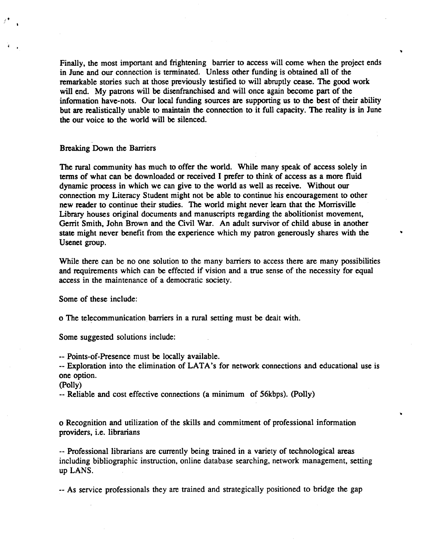Finally, the most important and frightening barrier to access will come when the project ends in June and our connection is terminated. Unless other funding is obtained all of the remarkable stories such at those previously testified to will abruptly cease. The good work will end. My patrons will be disenfranchised and will once again become part of the information have-nots. Our local funding sources are supporting us to the best of their ability but are realistically unable to maintain the connection to it full capacity. The reality is in June the our voice to the world will be silenced.

..

..

# Breaking Down the Barriers

(.

 $\left(\begin{array}{cc} 1 & 0 \\ 0 & 0 \end{array}\right)$ 

The rural community has much to offer the world. While many speak of access solely in terms of what can be downloaded or received I prefer to think of access as a more fluid dynamic process in which we can give to the world as well as receive. Without our connection my Literacy Student might not be able to continue his encouragement to other new reader to continue their studies. The world might never learn that the Morrisville Library houses original documents and manuscripts regarding the abolitionist movement, Gerrit Smith, John Brown and the Civil War. An adult survivor of child abuse in another state might never benefit from the experience which my patron generously shares with the Usenet group.

While there can be no one solution to the many barriers to access there are many possibilities and requirements which can be effected if vision and a true sense of the necessity for equal access in the maintenance of a democratic society.

Some of these include:

o The telecommunication barriers in a rural setting must be deait with.

Some suggested solutions include:

-- Points-of-Presence must be locally available.

-- Exploration into the elimination of LATA 's for network connections and educational use is one option.

(Polly)

-- Reliable and cost effective connections (a minimum of 56kbps). (Polly)

o Recognition and utilization of the skills and commitment of professional information providers, i.e. librarians

-- Professional librarians are currently being trained in a variety of technological areas including bibliographic instruction, online database searching, network management, setting up LANS.

-- As service professionals they are trained and strategically positioned to bridge the gap